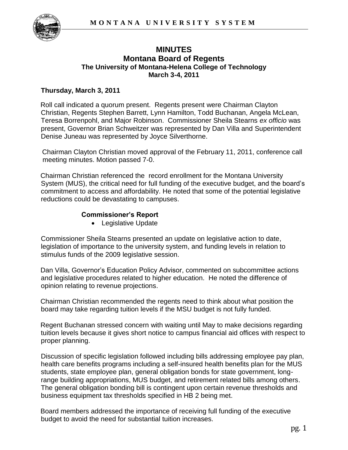

## **MINUTES Montana Board of Regents The University of Montana-Helena College of Technology March 3-4, 2011**

## **Thursday, March 3, 2011**

Roll call indicated a quorum present. Regents present were Chairman Clayton Christian, Regents Stephen Barrett, Lynn Hamilton, Todd Buchanan, Angela McLean, Teresa Borrenpohl, and Major Robinson. Commissioner Sheila Stearns *ex officio* was present, Governor Brian Schweitzer was represented by Dan Villa and Superintendent Denise Juneau was represented by Joyce Silverthorne.

Chairman Clayton Christian moved approval of the February 11, 2011, conference call meeting minutes. Motion passed 7-0.

Chairman Christian referenced the record enrollment for the Montana University System (MUS), the critical need for full funding of the executive budget, and the board's commitment to access and affordability. He noted that some of the potential legislative reductions could be devastating to campuses.

## **Commissioner's Report**

• Legislative Update

Commissioner Sheila Stearns presented an update on legislative action to date, legislation of importance to the university system, and funding levels in relation to stimulus funds of the 2009 legislative session.

Dan Villa, Governor's Education Policy Advisor, commented on subcommittee actions and legislative procedures related to higher education. He noted the difference of opinion relating to revenue projections.

Chairman Christian recommended the regents need to think about what position the board may take regarding tuition levels if the MSU budget is not fully funded.

Regent Buchanan stressed concern with waiting until May to make decisions regarding tuition levels because it gives short notice to campus financial aid offices with respect to proper planning.

Discussion of specific legislation followed including bills addressing employee pay plan, health care benefits programs including a self-insured health benefits plan for the MUS students, state employee plan, general obligation bonds for state government, longrange building appropriations, MUS budget, and retirement related bills among others. The general obligation bonding bill is contingent upon certain revenue thresholds and business equipment tax thresholds specified in HB 2 being met.

Board members addressed the importance of receiving full funding of the executive budget to avoid the need for substantial tuition increases.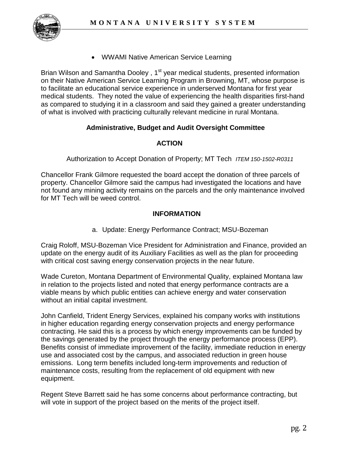

WWAMI Native American Service Learning

Brian Wilson and Samantha Dooley, 1<sup>st</sup> year medical students, presented information on their Native American Service Learning Program in Browning, MT, whose purpose is to facilitate an educational service experience in underserved Montana for first year medical students. They noted the value of experiencing the health disparities first-hand as compared to studying it in a classroom and said they gained a greater understanding of what is involved with practicing culturally relevant medicine in rural Montana.

## **Administrative, Budget and Audit Oversight Committee**

# **ACTION**

Authorization to Accept Donation of Property; MT Tech *ITEM 150-1502-R0311*

Chancellor Frank Gilmore requested the board accept the donation of three parcels of property. Chancellor Gilmore said the campus had investigated the locations and have not found any mining activity remains on the parcels and the only maintenance involved for MT Tech will be weed control.

## **INFORMATION**

a. Update: Energy Performance Contract; MSU-Bozeman

Craig Roloff, MSU-Bozeman Vice President for Administration and Finance, provided an update on the energy audit of its Auxiliary Facilities as well as the plan for proceeding with critical cost saving energy conservation projects in the near future.

Wade Cureton, Montana Department of Environmental Quality, explained Montana law in relation to the projects listed and noted that energy performance contracts are a viable means by which public entities can achieve energy and water conservation without an initial capital investment.

John Canfield, Trident Energy Services, explained his company works with institutions in higher education regarding energy conservation projects and energy performance contracting. He said this is a process by which energy improvements can be funded by the savings generated by the project through the energy performance process (EPP). Benefits consist of immediate improvement of the facility, immediate reduction in energy use and associated cost by the campus, and associated reduction in green house emissions. Long term benefits included long-term improvements and reduction of maintenance costs, resulting from the replacement of old equipment with new equipment.

Regent Steve Barrett said he has some concerns about performance contracting, but will vote in support of the project based on the merits of the project itself.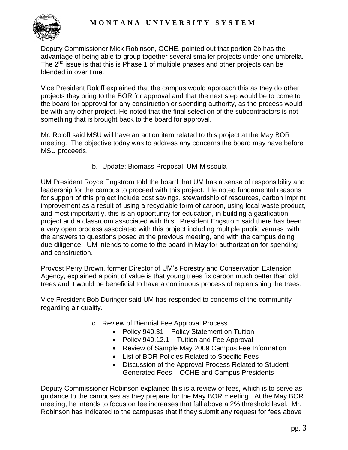

Deputy Commissioner Mick Robinson, OCHE, pointed out that portion 2b has the advantage of being able to group together several smaller projects under one umbrella. The  $2<sup>nd</sup>$  issue is that this is Phase 1 of multiple phases and other projects can be blended in over time.

Vice President Roloff explained that the campus would approach this as they do other projects they bring to the BOR for approval and that the next step would be to come to the board for approval for any construction or spending authority, as the process would be with any other project. He noted that the final selection of the subcontractors is not something that is brought back to the board for approval.

Mr. Roloff said MSU will have an action item related to this project at the May BOR meeting. The objective today was to address any concerns the board may have before MSU proceeds.

b. Update: Biomass Proposal; UM-Missoula

UM President Royce Engstrom told the board that UM has a sense of responsibility and leadership for the campus to proceed with this project. He noted fundamental reasons for support of this project include cost savings, stewardship of resources, carbon imprint improvement as a result of using a recyclable form of carbon, using local waste product, and most importantly, this is an opportunity for education, in building a gasification project and a classroom associated with this. President Engstrom said there has been a very open process associated with this project including multiple public venues with the answers to questions posed at the previous meeting, and with the campus doing due diligence. UM intends to come to the board in May for authorization for spending and construction.

Provost Perry Brown, former Director of UM's Forestry and Conservation Extension Agency, explained a point of value is that young trees fix carbon much better than old trees and it would be beneficial to have a continuous process of replenishing the trees.

Vice President Bob Duringer said UM has responded to concerns of the community regarding air quality.

- c. Review of Biennial Fee Approval Process
	- Policy 940.31 Policy Statement on Tuition
	- Policy 940.12.1 Tuition and Fee Approval
	- Review of Sample May 2009 Campus Fee Information
	- List of BOR Policies Related to Specific Fees
	- Discussion of the Approval Process Related to Student Generated Fees – OCHE and Campus Presidents

Deputy Commissioner Robinson explained this is a review of fees, which is to serve as guidance to the campuses as they prepare for the May BOR meeting. At the May BOR meeting, he intends to focus on fee increases that fall above a 2% threshold level. Mr. Robinson has indicated to the campuses that if they submit any request for fees above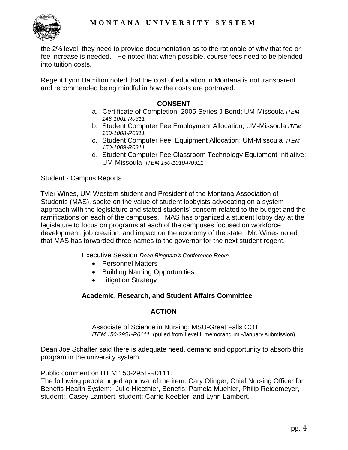

the 2% level, they need to provide documentation as to the rationale of why that fee or fee increase is needed. He noted that when possible, course fees need to be blended into tuition costs.

Regent Lynn Hamilton noted that the cost of education in Montana is not transparent and recommended being mindful in how the costs are portrayed.

#### **CONSENT**

- a. Certificate of Completion, 2005 Series J Bond; UM-Missoula *ITEM 146-1001-R0311*
- b. Student Computer Fee Employment Allocation; UM-Missoula *ITEM 150-1008-R0311*
- c. Student Computer Fee Equipment Allocation; UM-Missoula *ITEM 150-1009-R0311*
- d. Student Computer Fee Classroom Technology Equipment Initiative; UM-Missoula *ITEM 150-1010-R0311*

Student - Campus Reports

Tyler Wines, UM-Western student and President of the Montana Association of Students (MAS), spoke on the value of student lobbyists advocating on a system approach with the legislature and stated students' concern related to the budget and the ramifications on each of the campuses.. MAS has organized a student lobby day at the legislature to focus on programs at each of the campuses focused on workforce development, job creation, and impact on the economy of the state. Mr. Wines noted that MAS has forwarded three names to the governor for the next student regent.

Executive Session *Dean Bingham's Conference Room*

- Personnel Matters
- Building Naming Opportunities
- Litigation Strategy

#### **Academic, Research, and Student Affairs Committee**

#### **ACTION**

Associate of Science in Nursing; MSU-Great Falls COT *ITEM 150-2951-R0111* (pulled from Level II memorandum -January submission)

Dean Joe Schaffer said there is adequate need, demand and opportunity to absorb this program in the university system.

Public comment on ITEM 150-2951-R0111:

The following people urged approval of the item: Cary Olinger, Chief Nursing Officer for Benefis Health System; Julie Hicethier, Benefis; Pamela Muehler, Philip Reidemeyer, student; Casey Lambert, student; Carrie Keebler, and Lynn Lambert.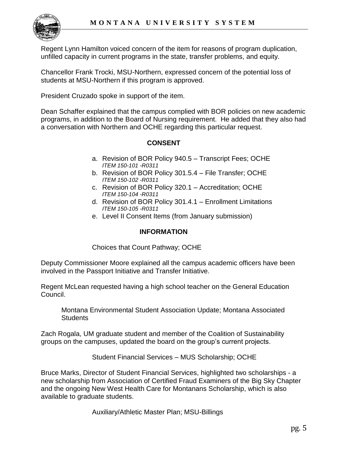

Regent Lynn Hamilton voiced concern of the item for reasons of program duplication, unfilled capacity in current programs in the state, transfer problems, and equity.

Chancellor Frank Trocki, MSU-Northern, expressed concern of the potential loss of students at MSU-Northern if this program is approved.

President Cruzado spoke in support of the item.

Dean Schaffer explained that the campus complied with BOR policies on new academic programs, in addition to the Board of Nursing requirement. He added that they also had a conversation with Northern and OCHE regarding this particular request.

# **CONSENT**

- a. Revision of BOR Policy 940.5 Transcript Fees; OCHE *ITEM 150-101 -R0311*
- b. Revision of BOR Policy 301.5.4 File Transfer; OCHE *ITEM 150-102 -R0311*
- c. Revision of BOR Policy 320.1 Accreditation; OCHE *ITEM 150-104 -R0311*
- d. Revision of BOR Policy 301.4.1 Enrollment Limitations *ITEM 150-105 -R0311*
- e. Level II Consent Items (from January submission)

## **INFORMATION**

Choices that Count Pathway; OCHE

Deputy Commissioner Moore explained all the campus academic officers have been involved in the Passport Initiative and Transfer Initiative.

Regent McLean requested having a high school teacher on the General Education Council.

Montana Environmental Student Association Update; Montana Associated Students

Zach Rogala, UM graduate student and member of the Coalition of Sustainability groups on the campuses, updated the board on the group's current projects.

Student Financial Services – MUS Scholarship; OCHE

Bruce Marks, Director of Student Financial Services, highlighted two scholarships - a new scholarship from Association of Certified Fraud Examiners of the Big Sky Chapter and the ongoing New West Health Care for Montanans Scholarship, which is also available to graduate students.

Auxiliary/Athletic Master Plan; MSU-Billings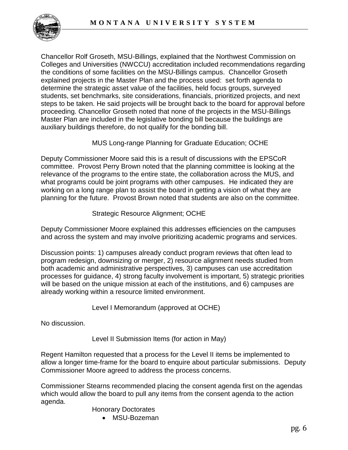

Chancellor Rolf Groseth, MSU-Billings, explained that the Northwest Commission on Colleges and Universities (NWCCU) accreditation included recommendations regarding the conditions of some facilities on the MSU-Billings campus. Chancellor Groseth explained projects in the Master Plan and the process used: set forth agenda to determine the strategic asset value of the facilities, held focus groups, surveyed students, set benchmarks, site considerations, financials, prioritized projects, and next steps to be taken. He said projects will be brought back to the board for approval before proceeding. Chancellor Groseth noted that none of the projects in the MSU-Billings Master Plan are included in the legislative bonding bill because the buildings are auxiliary buildings therefore, do not qualify for the bonding bill.

## MUS Long-range Planning for Graduate Education; OCHE

Deputy Commissioner Moore said this is a result of discussions with the EPSCoR committee. Provost Perry Brown noted that the planning committee is looking at the relevance of the programs to the entire state, the collaboration across the MUS, and what programs could be joint programs with other campuses. He indicated they are working on a long range plan to assist the board in getting a vision of what they are planning for the future. Provost Brown noted that students are also on the committee.

#### Strategic Resource Alignment; OCHE

Deputy Commissioner Moore explained this addresses efficiencies on the campuses and across the system and may involve prioritizing academic programs and services.

Discussion points: 1) campuses already conduct program reviews that often lead to program redesign, downsizing or merger, 2) resource alignment needs studied from both academic and administrative perspectives, 3) campuses can use accreditation processes for guidance, 4) strong faculty involvement is important, 5) strategic priorities will be based on the unique mission at each of the institutions, and 6) campuses are already working within a resource limited environment.

Level I Memorandum (approved at OCHE)

No discussion.

Level II Submission Items (for action in May)

Regent Hamilton requested that a process for the Level II items be implemented to allow a longer time-frame for the board to enquire about particular submissions. Deputy Commissioner Moore agreed to address the process concerns.

Commissioner Stearns recommended placing the consent agenda first on the agendas which would allow the board to pull any items from the consent agenda to the action agenda.

Honorary Doctorates

MSU-Bozeman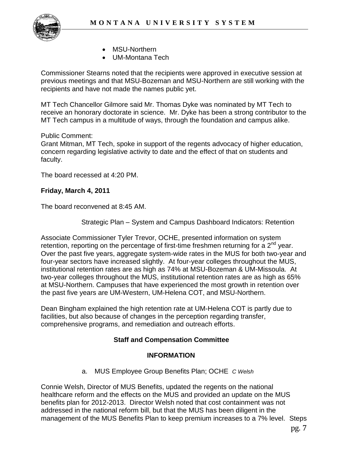

- MSU-Northern
- UM-Montana Tech

Commissioner Stearns noted that the recipients were approved in executive session at previous meetings and that MSU-Bozeman and MSU-Northern are still working with the recipients and have not made the names public yet.

MT Tech Chancellor Gilmore said Mr. Thomas Dyke was nominated by MT Tech to receive an honorary doctorate in science. Mr. Dyke has been a strong contributor to the MT Tech campus in a multitude of ways, through the foundation and campus alike.

#### Public Comment:

Grant Mitman, MT Tech, spoke in support of the regents advocacy of higher education, concern regarding legislative activity to date and the effect of that on students and faculty.

The board recessed at 4:20 PM.

## **Friday, March 4, 2011**

The board reconvened at 8:45 AM.

Strategic Plan – System and Campus Dashboard Indicators: Retention

Associate Commissioner Tyler Trevor, OCHE, presented information on system retention, reporting on the percentage of first-time freshmen returning for a 2<sup>nd</sup> year. Over the past five years, aggregate system-wide rates in the MUS for both two-year and four-year sectors have increased slightly. At four-year colleges throughout the MUS, institutional retention rates are as high as 74% at MSU-Bozeman & UM-Missoula. At two-year colleges throughout the MUS, institutional retention rates are as high as 65% at MSU-Northern. Campuses that have experienced the most growth in retention over the past five years are UM-Western, UM-Helena COT, and MSU-Northern.

Dean Bingham explained the high retention rate at UM-Helena COT is partly due to facilities, but also because of changes in the perception regarding transfer, comprehensive programs, and remediation and outreach efforts.

## **Staff and Compensation Committee**

## **INFORMATION**

a. MUS Employee Group Benefits Plan; OCHE *C Welsh*

Connie Welsh, Director of MUS Benefits, updated the regents on the national healthcare reform and the effects on the MUS and provided an update on the MUS benefits plan for 2012-2013. Director Welsh noted that cost containment was not addressed in the national reform bill, but that the MUS has been diligent in the management of the MUS Benefits Plan to keep premium increases to a 7% level. Steps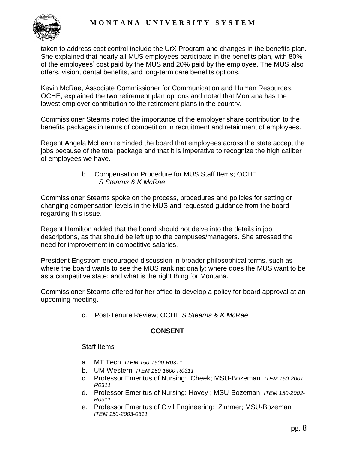

taken to address cost control include the UrX Program and changes in the benefits plan. She explained that nearly all MUS employees participate in the benefits plan, with 80% of the employees' cost paid by the MUS and 20% paid by the employee. The MUS also offers, vision, dental benefits, and long-term care benefits options.

Kevin McRae, Associate Commissioner for Communication and Human Resources, OCHE, explained the two retirement plan options and noted that Montana has the lowest employer contribution to the retirement plans in the country.

Commissioner Stearns noted the importance of the employer share contribution to the benefits packages in terms of competition in recruitment and retainment of employees.

Regent Angela McLean reminded the board that employees across the state accept the jobs because of the total package and that it is imperative to recognize the high caliber of employees we have.

> b. Compensation Procedure for MUS Staff Items; OCHE  *S Stearns & K McRae*

Commissioner Stearns spoke on the process, procedures and policies for setting or changing compensation levels in the MUS and requested guidance from the board regarding this issue.

Regent Hamilton added that the board should not delve into the details in job descriptions, as that should be left up to the campuses/managers. She stressed the need for improvement in competitive salaries.

President Engstrom encouraged discussion in broader philosophical terms, such as where the board wants to see the MUS rank nationally; where does the MUS want to be as a competitive state; and what is the right thing for Montana.

Commissioner Stearns offered for her office to develop a policy for board approval at an upcoming meeting.

c. Post-Tenure Review; OCHE *S Stearns & K McRae*

# **CONSENT**

## Staff Items

- a. MT Tech *ITEM 150-1500-R0311*
- b. UM-Western *ITEM 150-1600-R0311*
- c. Professor Emeritus of Nursing: Cheek; MSU-Bozeman *ITEM 150-2001- R0311*
- d. Professor Emeritus of Nursing: Hovey ; MSU-Bozeman *ITEM 150-2002- R0311*
- e. Professor Emeritus of Civil Engineering: Zimmer; MSU-Bozeman *ITEM 150-2003-0311*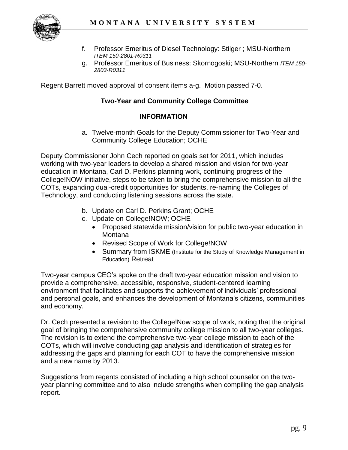

- f. Professor Emeritus of Diesel Technology: Stilger ; MSU-Northern *ITEM 150-2801-R0311*
- g. Professor Emeritus of Business: Skornogoski; MSU-Northern *ITEM 150- 2803-R0311*

Regent Barrett moved approval of consent items a-g. Motion passed 7-0.

#### **Two-Year and Community College Committee**

#### **INFORMATION**

a. Twelve-month Goals for the Deputy Commissioner for Two-Year and Community College Education; OCHE

Deputy Commissioner John Cech reported on goals set for 2011, which includes working with two-year leaders to develop a shared mission and vision for two-year education in Montana, Carl D. Perkins planning work, continuing progress of the College!NOW initiative, steps to be taken to bring the comprehensive mission to all the COTs, expanding dual-credit opportunities for students, re-naming the Colleges of Technology, and conducting listening sessions across the state.

- b. Update on Carl D. Perkins Grant; OCHE
- c. Update on College!NOW; OCHE
	- Proposed statewide mission/vision for public two-year education in Montana
	- Revised Scope of Work for College!NOW
	- Summary from ISKME (Institute for the Study of Knowledge Management in Education) Retreat

Two-year campus CEO's spoke on the draft two-year education mission and vision to provide a comprehensive, accessible, responsive, student-centered learning environment that facilitates and supports the achievement of individuals' professional and personal goals, and enhances the development of Montana's citizens, communities and economy.

Dr. Cech presented a revision to the College!Now scope of work, noting that the original goal of bringing the comprehensive community college mission to all two-year colleges. The revision is to extend the comprehensive two-year college mission to each of the COTs, which will involve conducting gap analysis and identification of strategies for addressing the gaps and planning for each COT to have the comprehensive mission and a new name by 2013.

Suggestions from regents consisted of including a high school counselor on the twoyear planning committee and to also include strengths when compiling the gap analysis report.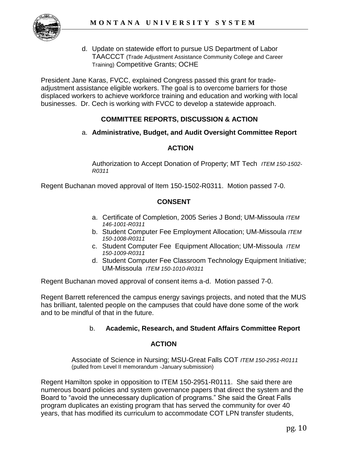

d. Update on statewide effort to pursue US Department of Labor TAACCCT (Trade Adjustment Assistance Community College and Career Training) Competitive Grants; OCHE

President Jane Karas, FVCC, explained Congress passed this grant for tradeadjustment assistance eligible workers. The goal is to overcome barriers for those displaced workers to achieve workforce training and education and working with local businesses. Dr. Cech is working with FVCC to develop a statewide approach.

# **COMMITTEE REPORTS, DISCUSSION & ACTION**

#### a. **Administrative, Budget, and Audit Oversight Committee Report**

# **ACTION**

Authorization to Accept Donation of Property; MT Tech *ITEM 150-1502- R0311*

Regent Buchanan moved approval of Item 150-1502-R0311. Motion passed 7-0.

## **CONSENT**

- a. Certificate of Completion, 2005 Series J Bond; UM-Missoula *ITEM 146-1001-R0311*
- b. Student Computer Fee Employment Allocation; UM-Missoula *ITEM 150-1008-R0311*
- c. Student Computer Fee Equipment Allocation; UM-Missoula *ITEM 150-1009-R0311*
- d. Student Computer Fee Classroom Technology Equipment Initiative; UM-Missoula *ITEM 150-1010-R0311*

Regent Buchanan moved approval of consent items a-d. Motion passed 7-0.

Regent Barrett referenced the campus energy savings projects, and noted that the MUS has brilliant, talented people on the campuses that could have done some of the work and to be mindful of that in the future.

## b. **Academic, Research, and Student Affairs Committee Report**

## **ACTION**

Associate of Science in Nursing; MSU-Great Falls COT *ITEM 150-2951-R0111*  (pulled from Level II memorandum -January submission)

Regent Hamilton spoke in opposition to ITEM 150-2951-R0111. She said there are numerous board policies and system governance papers that direct the system and the Board to "avoid the unnecessary duplication of programs." She said the Great Falls program duplicates an existing program that has served the community for over 40 years, that has modified its curriculum to accommodate COT LPN transfer students,